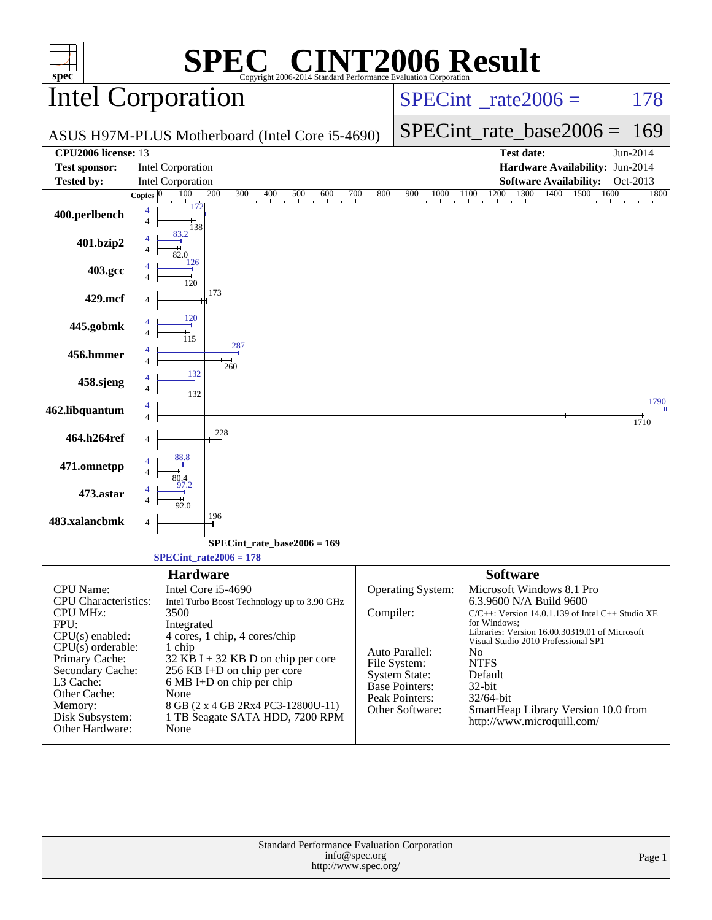| spec <sup>®</sup>                                                                                                                                                                                                                   | $\bigcap_{\mathbb{R}}$<br>Copyright 2006-2014 Standard Performance Evaluation Corporation                                                                                                                                                                                                                                                            |                                                                                                                                                        | <b>INT2006 Result</b>                                                                                                                                                                                                                                                                                                                                                                                                                               |          |
|-------------------------------------------------------------------------------------------------------------------------------------------------------------------------------------------------------------------------------------|------------------------------------------------------------------------------------------------------------------------------------------------------------------------------------------------------------------------------------------------------------------------------------------------------------------------------------------------------|--------------------------------------------------------------------------------------------------------------------------------------------------------|-----------------------------------------------------------------------------------------------------------------------------------------------------------------------------------------------------------------------------------------------------------------------------------------------------------------------------------------------------------------------------------------------------------------------------------------------------|----------|
|                                                                                                                                                                                                                                     | <b>Intel Corporation</b>                                                                                                                                                                                                                                                                                                                             |                                                                                                                                                        | $SPECint^{\circ}$ <sub>_rate2006</sub> =                                                                                                                                                                                                                                                                                                                                                                                                            | 178      |
|                                                                                                                                                                                                                                     | ASUS H97M-PLUS Motherboard (Intel Core i5-4690)                                                                                                                                                                                                                                                                                                      |                                                                                                                                                        | $SPECint_rate_base2006 =$                                                                                                                                                                                                                                                                                                                                                                                                                           | 169      |
| CPU2006 license: 13                                                                                                                                                                                                                 |                                                                                                                                                                                                                                                                                                                                                      |                                                                                                                                                        | <b>Test date:</b>                                                                                                                                                                                                                                                                                                                                                                                                                                   | Jun-2014 |
| <b>Test sponsor:</b>                                                                                                                                                                                                                | <b>Intel Corporation</b>                                                                                                                                                                                                                                                                                                                             |                                                                                                                                                        | Hardware Availability: Jun-2014                                                                                                                                                                                                                                                                                                                                                                                                                     |          |
| <b>Tested by:</b>                                                                                                                                                                                                                   | <b>Intel Corporation</b>                                                                                                                                                                                                                                                                                                                             |                                                                                                                                                        | <b>Software Availability:</b>                                                                                                                                                                                                                                                                                                                                                                                                                       | Oct-2013 |
| 400.perlbench                                                                                                                                                                                                                       | 200<br>100<br>300<br>400<br>$\frac{500}{1}$<br>600<br>$\frac{700}{1}$<br>Copies $ 0\rangle$<br>172<br>$\overline{4}$<br>138                                                                                                                                                                                                                          | $800$                                                                                                                                                  | 1200<br>$\underset{\tiny{\begin{array}{c}\mathbf{900}\quad\mathbf{1000}\quad\mathbf{1100}\quad\mathbf{1200}\quad\mathbf{1300}\quad\mathbf{1400}\quad\mathbf{1500}}{\tiny{\begin{array}{c}\mathbf{1400}\quad\mathbf{1500}\quad\mathbf{1500}\quad\mathbf{1500}\quad\mathbf{1500}\quad\mathbf{1500}\quad\mathbf{1500}\quad\mathbf{1500}\quad\mathbf{1500}\quad\mathbf{1500}\quad\mathbf{1500}\quad\mathbf{1500}\quad\mathbf{1500}\quad\mathbf$<br>1600 | 1800     |
| 401.bzip2                                                                                                                                                                                                                           | 83.2                                                                                                                                                                                                                                                                                                                                                 |                                                                                                                                                        |                                                                                                                                                                                                                                                                                                                                                                                                                                                     |          |
| 403.gcc                                                                                                                                                                                                                             | 126<br>120                                                                                                                                                                                                                                                                                                                                           |                                                                                                                                                        |                                                                                                                                                                                                                                                                                                                                                                                                                                                     |          |
| 429.mcf                                                                                                                                                                                                                             | 173<br>120                                                                                                                                                                                                                                                                                                                                           |                                                                                                                                                        |                                                                                                                                                                                                                                                                                                                                                                                                                                                     |          |
| 445.gobmk                                                                                                                                                                                                                           | 115<br>287                                                                                                                                                                                                                                                                                                                                           |                                                                                                                                                        |                                                                                                                                                                                                                                                                                                                                                                                                                                                     |          |
| 456.hmmer                                                                                                                                                                                                                           | 260<br>132                                                                                                                                                                                                                                                                                                                                           |                                                                                                                                                        |                                                                                                                                                                                                                                                                                                                                                                                                                                                     |          |
| 458.sjeng                                                                                                                                                                                                                           | $\frac{1}{132}$                                                                                                                                                                                                                                                                                                                                      |                                                                                                                                                        |                                                                                                                                                                                                                                                                                                                                                                                                                                                     | 1790     |
| 462.libquantum                                                                                                                                                                                                                      |                                                                                                                                                                                                                                                                                                                                                      |                                                                                                                                                        |                                                                                                                                                                                                                                                                                                                                                                                                                                                     | 1710     |
| 464.h264ref                                                                                                                                                                                                                         | 228                                                                                                                                                                                                                                                                                                                                                  |                                                                                                                                                        |                                                                                                                                                                                                                                                                                                                                                                                                                                                     |          |
| 471.omnetpp                                                                                                                                                                                                                         |                                                                                                                                                                                                                                                                                                                                                      |                                                                                                                                                        |                                                                                                                                                                                                                                                                                                                                                                                                                                                     |          |
| 473.astar                                                                                                                                                                                                                           |                                                                                                                                                                                                                                                                                                                                                      |                                                                                                                                                        |                                                                                                                                                                                                                                                                                                                                                                                                                                                     |          |
| 483.xalancbmk                                                                                                                                                                                                                       | :196                                                                                                                                                                                                                                                                                                                                                 |                                                                                                                                                        |                                                                                                                                                                                                                                                                                                                                                                                                                                                     |          |
|                                                                                                                                                                                                                                     | SPECint_rate_base2006 = 169<br>$SPECint_rate2006 = 178$                                                                                                                                                                                                                                                                                              |                                                                                                                                                        |                                                                                                                                                                                                                                                                                                                                                                                                                                                     |          |
| CPU Name:<br><b>CPU</b> Characteristics:<br><b>CPU MHz:</b><br>FPU:<br>$CPU(s)$ enabled:<br>$CPU(s)$ orderable:<br>Primary Cache:<br>Secondary Cache:<br>L3 Cache:<br>Other Cache:<br>Memory:<br>Disk Subsystem:<br>Other Hardware: | <b>Hardware</b><br>Intel Core i5-4690<br>Intel Turbo Boost Technology up to 3.90 GHz<br>3500<br>Integrated<br>4 cores, 1 chip, 4 cores/chip<br>1 chip<br>$32$ KB I + 32 KB D on chip per core<br>256 KB I+D on chip per core<br>$6 MB I+D$ on chip per chip<br>None<br>8 GB (2 x 4 GB 2Rx4 PC3-12800U-11)<br>1 TB Seagate SATA HDD, 7200 RPM<br>None | <b>Operating System:</b><br>Compiler:<br>Auto Parallel:<br>File System:<br><b>System State:</b><br>Base Pointers:<br>Peak Pointers:<br>Other Software: | <b>Software</b><br>Microsoft Windows 8.1 Pro<br>6.3.9600 N/A Build 9600<br>$C/C++$ : Version 14.0.1.139 of Intel $C++$ Studio XE<br>for Windows:<br>Libraries: Version 16.00.30319.01 of Microsoft<br>Visual Studio 2010 Professional SP1<br>N <sub>0</sub><br><b>NTFS</b><br>Default<br>32-bit<br>32/64-bit<br>SmartHeap Library Version 10.0 from<br>http://www.microquill.com/                                                                   |          |
|                                                                                                                                                                                                                                     | Standard Performance Evaluation Corporation<br>info@spec.org<br>http://www.spec.org/                                                                                                                                                                                                                                                                 |                                                                                                                                                        |                                                                                                                                                                                                                                                                                                                                                                                                                                                     | Page 1   |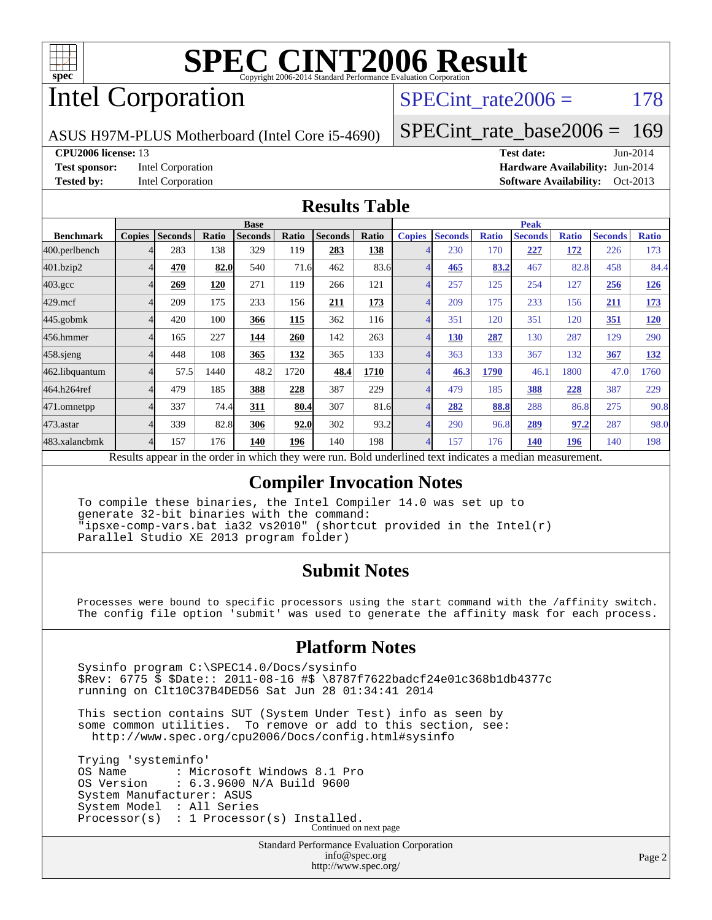

# Intel Corporation

SPECint rate $2006 = 178$ 

ASUS H97M-PLUS Motherboard (Intel Core i5-4690)

[SPECint\\_rate\\_base2006 =](http://www.spec.org/auto/cpu2006/Docs/result-fields.html#SPECintratebase2006) 169

**[CPU2006 license:](http://www.spec.org/auto/cpu2006/Docs/result-fields.html#CPU2006license)** 13 **[Test date:](http://www.spec.org/auto/cpu2006/Docs/result-fields.html#Testdate)** Jun-2014 **[Test sponsor:](http://www.spec.org/auto/cpu2006/Docs/result-fields.html#Testsponsor)** Intel Corporation **[Hardware Availability:](http://www.spec.org/auto/cpu2006/Docs/result-fields.html#HardwareAvailability)** Jun-2014 **[Tested by:](http://www.spec.org/auto/cpu2006/Docs/result-fields.html#Testedby)** Intel Corporation **[Software Availability:](http://www.spec.org/auto/cpu2006/Docs/result-fields.html#SoftwareAvailability)** Oct-2013

#### **[Results Table](http://www.spec.org/auto/cpu2006/Docs/result-fields.html#ResultsTable)**

|               |      |                | <b>Base</b>    |                      |                |                      |               |                      |              | <b>Peak</b>    |                      |                |                      |
|---------------|------|----------------|----------------|----------------------|----------------|----------------------|---------------|----------------------|--------------|----------------|----------------------|----------------|----------------------|
| <b>Copies</b> |      | <b>Ratio</b>   | <b>Seconds</b> | Ratio                | <b>Seconds</b> | Ratio                | <b>Copies</b> | <b>Seconds</b>       | <b>Ratio</b> | <b>Seconds</b> | <b>Ratio</b>         | <b>Seconds</b> | <b>Ratio</b>         |
|               | 283  | 138            | 329            | 119                  | 283            | 138                  |               | 230                  | 170          | <u>227</u>     | <u>172</u>           | 226            | 173                  |
|               | 470  |                | 540            |                      | 462            |                      |               | 465                  |              | 467            |                      | 458            | 84.4                 |
|               | 269  | 120            | 271            | 119                  | 266            | 121                  |               | 257                  | 125          | 254            | 127                  | 256            | <u>126</u>           |
|               | 209  | 175            | 233            | 156                  | 211            | 173                  |               | 209                  | 175          | 233            | 156                  | 211            | <u>173</u>           |
|               | 420  | 100            | 366            | 115                  | 362            | 116                  |               | 351                  | 120          | 351            | 120                  | <b>351</b>     | 120                  |
|               | 165  | 227            | 144            | 260                  | 142            | 263                  |               | 130                  | 287          | 130            | 287                  | 129            | 290                  |
|               | 448  | 108            | 365            | 132                  | 365            | 133                  |               | 363                  | 133          | 367            | 132                  | 367            | <b>132</b>           |
|               | 57.5 | 1440           | 48.2           | 1720                 | 48.4           | 1710                 |               | 46.3                 | 1790         | 46.1           | 1800                 | 47.0           | 1760                 |
|               | 479  | 185            | 388            | 228                  | 387            | 229                  | 4             | 479                  | 185          | 388            | 228                  | 387            | 229                  |
|               | 337  |                | 311            |                      | 307            |                      |               | 282                  |              | 288            |                      | 275            | 90.8                 |
|               | 339  |                | 306            |                      | 302            |                      |               | 290                  |              | 289            |                      | 287            | 98.0                 |
|               | 157  | 176            | 140            | 196                  | 140            | 198                  |               | 157                  | 176          | 140            | <u>196</u>           | 140            | 198                  |
|               |      | <b>Seconds</b> |                | 82.0<br>74.4<br>82.8 |                | 71.6<br>80.4<br>92.0 |               | 83.6<br>81.6<br>93.2 |              |                | 83.2<br>88.8<br>96.8 |                | 82.8<br>86.8<br>97.2 |

Results appear in the [order in which they were run.](http://www.spec.org/auto/cpu2006/Docs/result-fields.html#RunOrder) Bold underlined text [indicates a median measurement.](http://www.spec.org/auto/cpu2006/Docs/result-fields.html#Median)

#### **[Compiler Invocation Notes](http://www.spec.org/auto/cpu2006/Docs/result-fields.html#CompilerInvocationNotes)**

 To compile these binaries, the Intel Compiler 14.0 was set up to generate 32-bit binaries with the command: "ipsxe-comp-vars.bat ia32 vs2010" (shortcut provided in the Intel(r) Parallel Studio XE 2013 program folder)

#### **[Submit Notes](http://www.spec.org/auto/cpu2006/Docs/result-fields.html#SubmitNotes)**

 Processes were bound to specific processors using the start command with the /affinity switch. The config file option 'submit' was used to generate the affinity mask for each process.

#### **[Platform Notes](http://www.spec.org/auto/cpu2006/Docs/result-fields.html#PlatformNotes)**

 Sysinfo program C:\SPEC14.0/Docs/sysinfo \$Rev: 6775 \$ \$Date:: 2011-08-16 #\$ \8787f7622badcf24e01c368b1db4377c running on Clt10C37B4DED56 Sat Jun 28 01:34:41 2014

 This section contains SUT (System Under Test) info as seen by some common utilities. To remove or add to this section, see: <http://www.spec.org/cpu2006/Docs/config.html#sysinfo>

 Trying 'systeminfo' OS Name : Microsoft Windows 8.1 Pro<br>OS Version : 6.3.9600 N/A Build 9600 : 6.3.9600 N/A Build 9600 System Manufacturer: ASUS System Model : All Series Processor(s) : 1 Processor(s) Installed. Continued on next page

> Standard Performance Evaluation Corporation [info@spec.org](mailto:info@spec.org) <http://www.spec.org/>

Page 2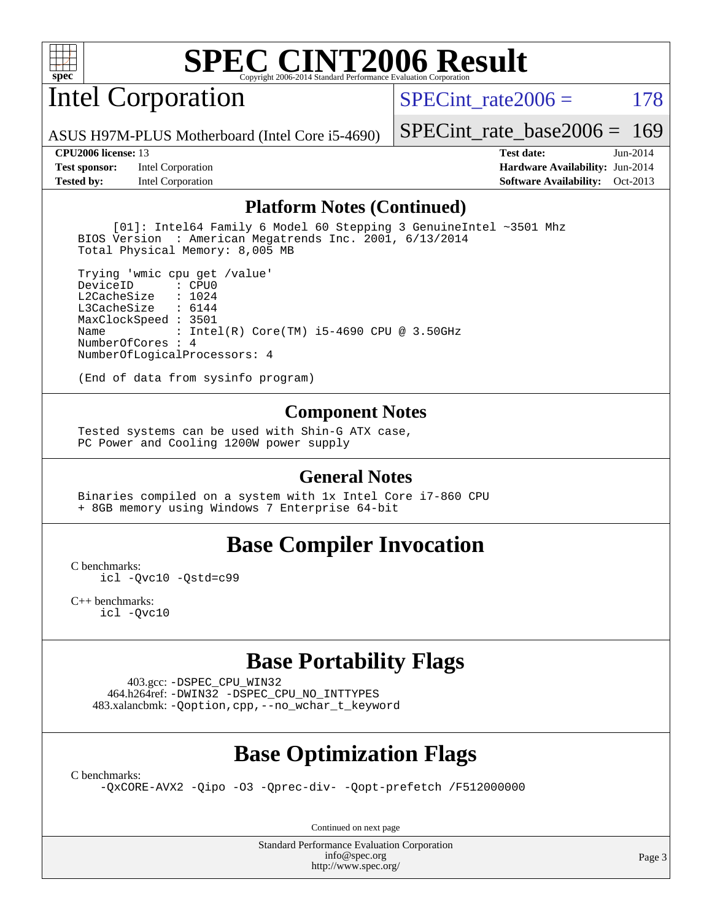

# Intel Corporation

SPECint rate $2006 = 178$ 

ASUS H97M-PLUS Motherboard (Intel Core i5-4690)

[SPECint\\_rate\\_base2006 =](http://www.spec.org/auto/cpu2006/Docs/result-fields.html#SPECintratebase2006) 169

**[Test sponsor:](http://www.spec.org/auto/cpu2006/Docs/result-fields.html#Testsponsor)** Intel Corporation **[Hardware Availability:](http://www.spec.org/auto/cpu2006/Docs/result-fields.html#HardwareAvailability)** Jun-2014

**[CPU2006 license:](http://www.spec.org/auto/cpu2006/Docs/result-fields.html#CPU2006license)** 13 **[Test date:](http://www.spec.org/auto/cpu2006/Docs/result-fields.html#Testdate)** Jun-2014 **[Tested by:](http://www.spec.org/auto/cpu2006/Docs/result-fields.html#Testedby)** Intel Corporation **[Software Availability:](http://www.spec.org/auto/cpu2006/Docs/result-fields.html#SoftwareAvailability)** Oct-2013

#### **[Platform Notes \(Continued\)](http://www.spec.org/auto/cpu2006/Docs/result-fields.html#PlatformNotes)**

 [01]: Intel64 Family 6 Model 60 Stepping 3 GenuineIntel ~3501 Mhz BIOS Version : American Megatrends Inc. 2001, 6/13/2014 Total Physical Memory: 8,005 MB

 Trying 'wmic cpu get /value' DeviceID L2CacheSize : 1024 L3CacheSize : 6144 MaxClockSpeed : 3501 Name : Intel(R) Core(TM) i5-4690 CPU @ 3.50GHz NumberOfCores : 4 NumberOfLogicalProcessors: 4

(End of data from sysinfo program)

#### **[Component Notes](http://www.spec.org/auto/cpu2006/Docs/result-fields.html#ComponentNotes)**

 Tested systems can be used with Shin-G ATX case, PC Power and Cooling 1200W power supply

#### **[General Notes](http://www.spec.org/auto/cpu2006/Docs/result-fields.html#GeneralNotes)**

 Binaries compiled on a system with 1x Intel Core i7-860 CPU + 8GB memory using Windows 7 Enterprise 64-bit

#### **[Base Compiler Invocation](http://www.spec.org/auto/cpu2006/Docs/result-fields.html#BaseCompilerInvocation)**

[C benchmarks](http://www.spec.org/auto/cpu2006/Docs/result-fields.html#Cbenchmarks):

[icl -Qvc10](http://www.spec.org/cpu2006/results/res2014q3/cpu2006-20140715-30476.flags.html#user_CCbase_intel_icc_vc10_9607f3ecbcdf68042245f068e51b40c1) [-Qstd=c99](http://www.spec.org/cpu2006/results/res2014q3/cpu2006-20140715-30476.flags.html#user_CCbase_intel_compiler_c99_mode_1a3d110e3041b3ad4466830521bdad2a)

[C++ benchmarks:](http://www.spec.org/auto/cpu2006/Docs/result-fields.html#CXXbenchmarks) [icl -Qvc10](http://www.spec.org/cpu2006/results/res2014q3/cpu2006-20140715-30476.flags.html#user_CXXbase_intel_icc_vc10_9607f3ecbcdf68042245f068e51b40c1)

#### **[Base Portability Flags](http://www.spec.org/auto/cpu2006/Docs/result-fields.html#BasePortabilityFlags)**

 403.gcc: [-DSPEC\\_CPU\\_WIN32](http://www.spec.org/cpu2006/results/res2014q3/cpu2006-20140715-30476.flags.html#b403.gcc_baseCPORTABILITY_DSPEC_CPU_WIN32) 464.h264ref: [-DWIN32](http://www.spec.org/cpu2006/results/res2014q3/cpu2006-20140715-30476.flags.html#b464.h264ref_baseCPORTABILITY_DWIN32) [-DSPEC\\_CPU\\_NO\\_INTTYPES](http://www.spec.org/cpu2006/results/res2014q3/cpu2006-20140715-30476.flags.html#b464.h264ref_baseCPORTABILITY_DSPEC_CPU_NO_INTTYPES) 483.xalancbmk: [-Qoption,cpp,--no\\_wchar\\_t\\_keyword](http://www.spec.org/cpu2006/results/res2014q3/cpu2006-20140715-30476.flags.html#user_baseCXXPORTABILITY483_xalancbmk_f-no_wchar_t_keyword_ec0ad4495a16b4e858bfcb29d949d25d)

#### **[Base Optimization Flags](http://www.spec.org/auto/cpu2006/Docs/result-fields.html#BaseOptimizationFlags)**

[C benchmarks](http://www.spec.org/auto/cpu2006/Docs/result-fields.html#Cbenchmarks):

[-QxCORE-AVX2](http://www.spec.org/cpu2006/results/res2014q3/cpu2006-20140715-30476.flags.html#user_CCbase_f-QxAVX2_f98716b5f9e905f99c943c56f21bf430) [-Qipo](http://www.spec.org/cpu2006/results/res2014q3/cpu2006-20140715-30476.flags.html#user_CCbase_f-Qipo) [-O3](http://www.spec.org/cpu2006/results/res2014q3/cpu2006-20140715-30476.flags.html#user_CCbase_f-O3) [-Qprec-div-](http://www.spec.org/cpu2006/results/res2014q3/cpu2006-20140715-30476.flags.html#user_CCbase_f-Qprec-div-) [-Qopt-prefetch](http://www.spec.org/cpu2006/results/res2014q3/cpu2006-20140715-30476.flags.html#user_CCbase_f-Qprefetch_37c211608666b9dff9380561f602f0a8) [/F512000000](http://www.spec.org/cpu2006/results/res2014q3/cpu2006-20140715-30476.flags.html#user_CCbase_set_stack_space_98438a10eb60aa5f35f4c79d9b9b27b1)

Continued on next page

Standard Performance Evaluation Corporation [info@spec.org](mailto:info@spec.org) <http://www.spec.org/>

Page 3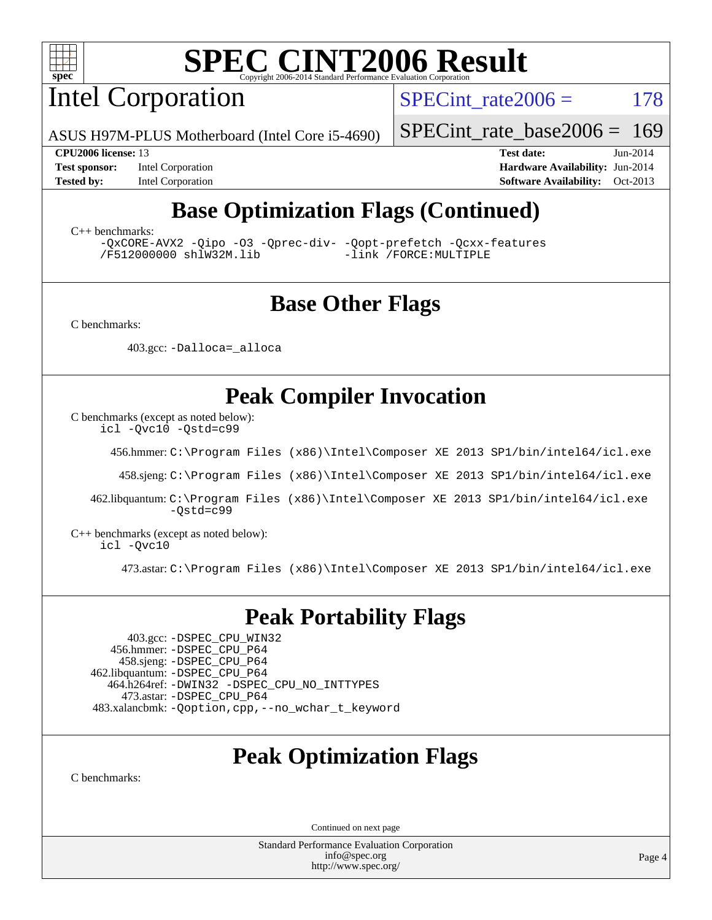

Intel Corporation

SPECint rate $2006 = 178$ 

ASUS H97M-PLUS Motherboard (Intel Core i5-4690)

[SPECint\\_rate\\_base2006 =](http://www.spec.org/auto/cpu2006/Docs/result-fields.html#SPECintratebase2006) 169

**[Test sponsor:](http://www.spec.org/auto/cpu2006/Docs/result-fields.html#Testsponsor)** Intel Corporation **[Hardware Availability:](http://www.spec.org/auto/cpu2006/Docs/result-fields.html#HardwareAvailability)** Jun-2014

**[CPU2006 license:](http://www.spec.org/auto/cpu2006/Docs/result-fields.html#CPU2006license)** 13 **[Test date:](http://www.spec.org/auto/cpu2006/Docs/result-fields.html#Testdate)** Jun-2014 **[Tested by:](http://www.spec.org/auto/cpu2006/Docs/result-fields.html#Testedby)** Intel Corporation **[Software Availability:](http://www.spec.org/auto/cpu2006/Docs/result-fields.html#SoftwareAvailability)** Oct-2013

## **[Base Optimization Flags \(Continued\)](http://www.spec.org/auto/cpu2006/Docs/result-fields.html#BaseOptimizationFlags)**

[C++ benchmarks:](http://www.spec.org/auto/cpu2006/Docs/result-fields.html#CXXbenchmarks)

[-QxCORE-AVX2](http://www.spec.org/cpu2006/results/res2014q3/cpu2006-20140715-30476.flags.html#user_CXXbase_f-QxAVX2_f98716b5f9e905f99c943c56f21bf430) [-Qipo](http://www.spec.org/cpu2006/results/res2014q3/cpu2006-20140715-30476.flags.html#user_CXXbase_f-Qipo) [-O3](http://www.spec.org/cpu2006/results/res2014q3/cpu2006-20140715-30476.flags.html#user_CXXbase_f-O3) [-Qprec-div-](http://www.spec.org/cpu2006/results/res2014q3/cpu2006-20140715-30476.flags.html#user_CXXbase_f-Qprec-div-) [-Qopt-prefetch](http://www.spec.org/cpu2006/results/res2014q3/cpu2006-20140715-30476.flags.html#user_CXXbase_f-Qprefetch_37c211608666b9dff9380561f602f0a8) [-Qcxx-features](http://www.spec.org/cpu2006/results/res2014q3/cpu2006-20140715-30476.flags.html#user_CXXbase_f-Qcxx_features_dbf36c8a6dba956e22f1645e4dcd4d98) [/F512000000](http://www.spec.org/cpu2006/results/res2014q3/cpu2006-20140715-30476.flags.html#user_CXXbase_set_stack_space_98438a10eb60aa5f35f4c79d9b9b27b1) [shlW32M.lib](http://www.spec.org/cpu2006/results/res2014q3/cpu2006-20140715-30476.flags.html#user_CXXbase_SmartHeap32_d106338dfda1a055705c9b519e07f096)

### **[Base Other Flags](http://www.spec.org/auto/cpu2006/Docs/result-fields.html#BaseOtherFlags)**

[C benchmarks](http://www.spec.org/auto/cpu2006/Docs/result-fields.html#Cbenchmarks):

403.gcc: [-Dalloca=\\_alloca](http://www.spec.org/cpu2006/results/res2014q3/cpu2006-20140715-30476.flags.html#b403.gcc_baseEXTRA_CFLAGS_Dalloca_be3056838c12de2578596ca5467af7f3)

### **[Peak Compiler Invocation](http://www.spec.org/auto/cpu2006/Docs/result-fields.html#PeakCompilerInvocation)**

[C benchmarks \(except as noted below\)](http://www.spec.org/auto/cpu2006/Docs/result-fields.html#Cbenchmarksexceptasnotedbelow):

[icl -Qvc10](http://www.spec.org/cpu2006/results/res2014q3/cpu2006-20140715-30476.flags.html#user_CCpeak_intel_icc_vc10_9607f3ecbcdf68042245f068e51b40c1) [-Qstd=c99](http://www.spec.org/cpu2006/results/res2014q3/cpu2006-20140715-30476.flags.html#user_CCpeak_intel_compiler_c99_mode_1a3d110e3041b3ad4466830521bdad2a)

456.hmmer: [C:\Program Files \(x86\)\Intel\Composer XE 2013 SP1/bin/intel64/icl.exe](http://www.spec.org/cpu2006/results/res2014q3/cpu2006-20140715-30476.flags.html#user_peakCCLD456_hmmer_intel_icc_64bit_f549ed431576093dccb075b890b96ee2)

458.sjeng: [C:\Program Files \(x86\)\Intel\Composer XE 2013 SP1/bin/intel64/icl.exe](http://www.spec.org/cpu2006/results/res2014q3/cpu2006-20140715-30476.flags.html#user_peakCCLD458_sjeng_intel_icc_64bit_f549ed431576093dccb075b890b96ee2)

 462.libquantum: [C:\Program Files \(x86\)\Intel\Composer XE 2013 SP1/bin/intel64/icl.exe](http://www.spec.org/cpu2006/results/res2014q3/cpu2006-20140715-30476.flags.html#user_peakCCLD462_libquantum_intel_icc_64bit_f549ed431576093dccb075b890b96ee2) [-Qstd=c99](http://www.spec.org/cpu2006/results/res2014q3/cpu2006-20140715-30476.flags.html#user_peakCCLD462_libquantum_intel_compiler_c99_mode_1a3d110e3041b3ad4466830521bdad2a)

[C++ benchmarks \(except as noted below\):](http://www.spec.org/auto/cpu2006/Docs/result-fields.html#CXXbenchmarksexceptasnotedbelow) [icl -Qvc10](http://www.spec.org/cpu2006/results/res2014q3/cpu2006-20140715-30476.flags.html#user_CXXpeak_intel_icc_vc10_9607f3ecbcdf68042245f068e51b40c1)

473.astar: [C:\Program Files \(x86\)\Intel\Composer XE 2013 SP1/bin/intel64/icl.exe](http://www.spec.org/cpu2006/results/res2014q3/cpu2006-20140715-30476.flags.html#user_peakCXXLD473_astar_intel_icc_64bit_f549ed431576093dccb075b890b96ee2)

#### **[Peak Portability Flags](http://www.spec.org/auto/cpu2006/Docs/result-fields.html#PeakPortabilityFlags)**

 403.gcc: [-DSPEC\\_CPU\\_WIN32](http://www.spec.org/cpu2006/results/res2014q3/cpu2006-20140715-30476.flags.html#b403.gcc_peakCPORTABILITY_DSPEC_CPU_WIN32) 456.hmmer: [-DSPEC\\_CPU\\_P64](http://www.spec.org/cpu2006/results/res2014q3/cpu2006-20140715-30476.flags.html#suite_peakPORTABILITY456_hmmer_DSPEC_CPU_P64) 458.sjeng: [-DSPEC\\_CPU\\_P64](http://www.spec.org/cpu2006/results/res2014q3/cpu2006-20140715-30476.flags.html#suite_peakPORTABILITY458_sjeng_DSPEC_CPU_P64) 462.libquantum: [-DSPEC\\_CPU\\_P64](http://www.spec.org/cpu2006/results/res2014q3/cpu2006-20140715-30476.flags.html#suite_peakPORTABILITY462_libquantum_DSPEC_CPU_P64) 464.h264ref: [-DWIN32](http://www.spec.org/cpu2006/results/res2014q3/cpu2006-20140715-30476.flags.html#b464.h264ref_peakCPORTABILITY_DWIN32) [-DSPEC\\_CPU\\_NO\\_INTTYPES](http://www.spec.org/cpu2006/results/res2014q3/cpu2006-20140715-30476.flags.html#b464.h264ref_peakCPORTABILITY_DSPEC_CPU_NO_INTTYPES) 473.astar: [-DSPEC\\_CPU\\_P64](http://www.spec.org/cpu2006/results/res2014q3/cpu2006-20140715-30476.flags.html#suite_peakPORTABILITY473_astar_DSPEC_CPU_P64) 483.xalancbmk: [-Qoption,cpp,--no\\_wchar\\_t\\_keyword](http://www.spec.org/cpu2006/results/res2014q3/cpu2006-20140715-30476.flags.html#user_peakCXXPORTABILITY483_xalancbmk_f-no_wchar_t_keyword_ec0ad4495a16b4e858bfcb29d949d25d)

### **[Peak Optimization Flags](http://www.spec.org/auto/cpu2006/Docs/result-fields.html#PeakOptimizationFlags)**

[C benchmarks](http://www.spec.org/auto/cpu2006/Docs/result-fields.html#Cbenchmarks):

Continued on next page

Standard Performance Evaluation Corporation [info@spec.org](mailto:info@spec.org) <http://www.spec.org/>

Page 4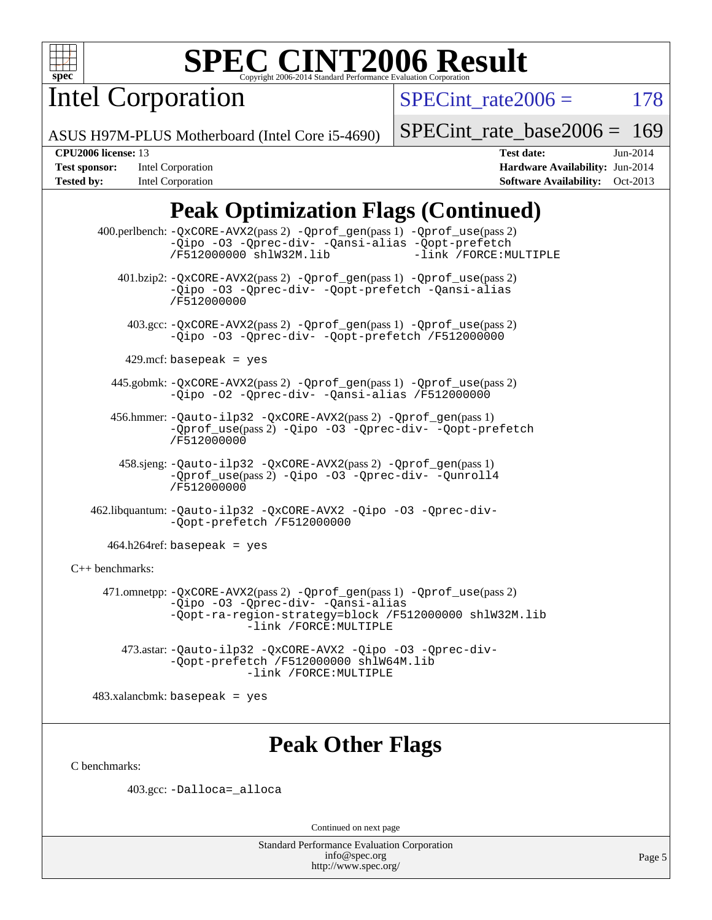

Intel Corporation

SPECint rate $2006 = 178$ 

ASUS H97M-PLUS Motherboard (Intel Core i5-4690)

[SPECint\\_rate\\_base2006 =](http://www.spec.org/auto/cpu2006/Docs/result-fields.html#SPECintratebase2006) 169

**[Tested by:](http://www.spec.org/auto/cpu2006/Docs/result-fields.html#Testedby)** Intel Corporation **[Software Availability:](http://www.spec.org/auto/cpu2006/Docs/result-fields.html#SoftwareAvailability)** Oct-2013

**[CPU2006 license:](http://www.spec.org/auto/cpu2006/Docs/result-fields.html#CPU2006license)** 13 **[Test date:](http://www.spec.org/auto/cpu2006/Docs/result-fields.html#Testdate)** Jun-2014 **[Test sponsor:](http://www.spec.org/auto/cpu2006/Docs/result-fields.html#Testsponsor)** Intel Corporation **[Hardware Availability:](http://www.spec.org/auto/cpu2006/Docs/result-fields.html#HardwareAvailability)** Jun-2014

## **[Peak Optimization Flags \(Continued\)](http://www.spec.org/auto/cpu2006/Docs/result-fields.html#PeakOptimizationFlags)**

 400.perlbench: [-QxCORE-AVX2](http://www.spec.org/cpu2006/results/res2014q3/cpu2006-20140715-30476.flags.html#user_peakPASS2_CFLAGSPASS2_LDFLAGS400_perlbench_f-QxAVX2_f98716b5f9e905f99c943c56f21bf430)(pass 2) [-Qprof\\_gen](http://www.spec.org/cpu2006/results/res2014q3/cpu2006-20140715-30476.flags.html#user_peakPASS1_CFLAGSPASS1_LDFLAGS400_perlbench_Qprof_gen)(pass 1) [-Qprof\\_use](http://www.spec.org/cpu2006/results/res2014q3/cpu2006-20140715-30476.flags.html#user_peakPASS2_CFLAGSPASS2_LDFLAGS400_perlbench_Qprof_use)(pass 2) [-Qipo](http://www.spec.org/cpu2006/results/res2014q3/cpu2006-20140715-30476.flags.html#user_peakOPTIMIZE400_perlbench_f-Qipo) [-O3](http://www.spec.org/cpu2006/results/res2014q3/cpu2006-20140715-30476.flags.html#user_peakOPTIMIZE400_perlbench_f-O3) [-Qprec-div-](http://www.spec.org/cpu2006/results/res2014q3/cpu2006-20140715-30476.flags.html#user_peakOPTIMIZE400_perlbench_f-Qprec-div-) [-Qansi-alias](http://www.spec.org/cpu2006/results/res2014q3/cpu2006-20140715-30476.flags.html#user_peakOPTIMIZE400_perlbench_f-Qansi-alias) [-Qopt-prefetch](http://www.spec.org/cpu2006/results/res2014q3/cpu2006-20140715-30476.flags.html#user_peakOPTIMIZE400_perlbench_f-Qprefetch_37c211608666b9dff9380561f602f0a8) [/F512000000](http://www.spec.org/cpu2006/results/res2014q3/cpu2006-20140715-30476.flags.html#user_peakEXTRA_LDFLAGS400_perlbench_set_stack_space_98438a10eb60aa5f35f4c79d9b9b27b1) [shlW32M.lib](http://www.spec.org/cpu2006/results/res2014q3/cpu2006-20140715-30476.flags.html#user_peakEXTRA_LIBS400_perlbench_SmartHeap32_d106338dfda1a055705c9b519e07f096) 401.bzip2: [-QxCORE-AVX2](http://www.spec.org/cpu2006/results/res2014q3/cpu2006-20140715-30476.flags.html#user_peakPASS2_CFLAGSPASS2_LDFLAGS401_bzip2_f-QxAVX2_f98716b5f9e905f99c943c56f21bf430)(pass 2) [-Qprof\\_gen](http://www.spec.org/cpu2006/results/res2014q3/cpu2006-20140715-30476.flags.html#user_peakPASS1_CFLAGSPASS1_LDFLAGS401_bzip2_Qprof_gen)(pass 1) [-Qprof\\_use](http://www.spec.org/cpu2006/results/res2014q3/cpu2006-20140715-30476.flags.html#user_peakPASS2_CFLAGSPASS2_LDFLAGS401_bzip2_Qprof_use)(pass 2) [-Qipo](http://www.spec.org/cpu2006/results/res2014q3/cpu2006-20140715-30476.flags.html#user_peakOPTIMIZE401_bzip2_f-Qipo) [-O3](http://www.spec.org/cpu2006/results/res2014q3/cpu2006-20140715-30476.flags.html#user_peakOPTIMIZE401_bzip2_f-O3) [-Qprec-div-](http://www.spec.org/cpu2006/results/res2014q3/cpu2006-20140715-30476.flags.html#user_peakOPTIMIZE401_bzip2_f-Qprec-div-) [-Qopt-prefetch](http://www.spec.org/cpu2006/results/res2014q3/cpu2006-20140715-30476.flags.html#user_peakOPTIMIZE401_bzip2_f-Qprefetch_37c211608666b9dff9380561f602f0a8) [-Qansi-alias](http://www.spec.org/cpu2006/results/res2014q3/cpu2006-20140715-30476.flags.html#user_peakOPTIMIZE401_bzip2_f-Qansi-alias) [/F512000000](http://www.spec.org/cpu2006/results/res2014q3/cpu2006-20140715-30476.flags.html#user_peakEXTRA_LDFLAGS401_bzip2_set_stack_space_98438a10eb60aa5f35f4c79d9b9b27b1) 403.gcc: [-QxCORE-AVX2](http://www.spec.org/cpu2006/results/res2014q3/cpu2006-20140715-30476.flags.html#user_peakPASS2_CFLAGSPASS2_LDFLAGS403_gcc_f-QxAVX2_f98716b5f9e905f99c943c56f21bf430)(pass 2) [-Qprof\\_gen](http://www.spec.org/cpu2006/results/res2014q3/cpu2006-20140715-30476.flags.html#user_peakPASS1_CFLAGSPASS1_LDFLAGS403_gcc_Qprof_gen)(pass 1) [-Qprof\\_use](http://www.spec.org/cpu2006/results/res2014q3/cpu2006-20140715-30476.flags.html#user_peakPASS2_CFLAGSPASS2_LDFLAGS403_gcc_Qprof_use)(pass 2) [-Qipo](http://www.spec.org/cpu2006/results/res2014q3/cpu2006-20140715-30476.flags.html#user_peakOPTIMIZE403_gcc_f-Qipo) [-O3](http://www.spec.org/cpu2006/results/res2014q3/cpu2006-20140715-30476.flags.html#user_peakOPTIMIZE403_gcc_f-O3) [-Qprec-div-](http://www.spec.org/cpu2006/results/res2014q3/cpu2006-20140715-30476.flags.html#user_peakOPTIMIZE403_gcc_f-Qprec-div-) [-Qopt-prefetch](http://www.spec.org/cpu2006/results/res2014q3/cpu2006-20140715-30476.flags.html#user_peakOPTIMIZE403_gcc_f-Qprefetch_37c211608666b9dff9380561f602f0a8) [/F512000000](http://www.spec.org/cpu2006/results/res2014q3/cpu2006-20140715-30476.flags.html#user_peakEXTRA_LDFLAGS403_gcc_set_stack_space_98438a10eb60aa5f35f4c79d9b9b27b1)  $429$ .mcf: basepeak = yes 445.gobmk: [-QxCORE-AVX2](http://www.spec.org/cpu2006/results/res2014q3/cpu2006-20140715-30476.flags.html#user_peakPASS2_CFLAGSPASS2_LDFLAGS445_gobmk_f-QxAVX2_f98716b5f9e905f99c943c56f21bf430)(pass 2) [-Qprof\\_gen](http://www.spec.org/cpu2006/results/res2014q3/cpu2006-20140715-30476.flags.html#user_peakPASS1_CFLAGSPASS1_LDFLAGS445_gobmk_Qprof_gen)(pass 1) [-Qprof\\_use](http://www.spec.org/cpu2006/results/res2014q3/cpu2006-20140715-30476.flags.html#user_peakPASS2_CFLAGSPASS2_LDFLAGS445_gobmk_Qprof_use)(pass 2) [-Qipo](http://www.spec.org/cpu2006/results/res2014q3/cpu2006-20140715-30476.flags.html#user_peakOPTIMIZE445_gobmk_f-Qipo) [-O2](http://www.spec.org/cpu2006/results/res2014q3/cpu2006-20140715-30476.flags.html#user_peakOPTIMIZE445_gobmk_f-O2) [-Qprec-div-](http://www.spec.org/cpu2006/results/res2014q3/cpu2006-20140715-30476.flags.html#user_peakOPTIMIZE445_gobmk_f-Qprec-div-) [-Qansi-alias](http://www.spec.org/cpu2006/results/res2014q3/cpu2006-20140715-30476.flags.html#user_peakOPTIMIZE445_gobmk_f-Qansi-alias) [/F512000000](http://www.spec.org/cpu2006/results/res2014q3/cpu2006-20140715-30476.flags.html#user_peakEXTRA_LDFLAGS445_gobmk_set_stack_space_98438a10eb60aa5f35f4c79d9b9b27b1) 456.hmmer: [-Qauto-ilp32](http://www.spec.org/cpu2006/results/res2014q3/cpu2006-20140715-30476.flags.html#user_peakCCLD456_hmmer_f-Qauto-ilp32) [-QxCORE-AVX2](http://www.spec.org/cpu2006/results/res2014q3/cpu2006-20140715-30476.flags.html#user_peakPASS2_CFLAGSPASS2_LDFLAGS456_hmmer_f-QxAVX2_f98716b5f9e905f99c943c56f21bf430)(pass 2) [-Qprof\\_gen](http://www.spec.org/cpu2006/results/res2014q3/cpu2006-20140715-30476.flags.html#user_peakPASS1_CFLAGSPASS1_LDFLAGS456_hmmer_Qprof_gen)(pass 1) [-Qprof\\_use](http://www.spec.org/cpu2006/results/res2014q3/cpu2006-20140715-30476.flags.html#user_peakPASS2_CFLAGSPASS2_LDFLAGS456_hmmer_Qprof_use)(pass 2) [-Qipo](http://www.spec.org/cpu2006/results/res2014q3/cpu2006-20140715-30476.flags.html#user_peakOPTIMIZE456_hmmer_f-Qipo) [-O3](http://www.spec.org/cpu2006/results/res2014q3/cpu2006-20140715-30476.flags.html#user_peakOPTIMIZE456_hmmer_f-O3) [-Qprec-div-](http://www.spec.org/cpu2006/results/res2014q3/cpu2006-20140715-30476.flags.html#user_peakOPTIMIZE456_hmmer_f-Qprec-div-) [-Qopt-prefetch](http://www.spec.org/cpu2006/results/res2014q3/cpu2006-20140715-30476.flags.html#user_peakOPTIMIZE456_hmmer_f-Qprefetch_37c211608666b9dff9380561f602f0a8) [/F512000000](http://www.spec.org/cpu2006/results/res2014q3/cpu2006-20140715-30476.flags.html#user_peakEXTRA_LDFLAGS456_hmmer_set_stack_space_98438a10eb60aa5f35f4c79d9b9b27b1) 458.sjeng: [-Qauto-ilp32](http://www.spec.org/cpu2006/results/res2014q3/cpu2006-20140715-30476.flags.html#user_peakCCLD458_sjeng_f-Qauto-ilp32) [-QxCORE-AVX2](http://www.spec.org/cpu2006/results/res2014q3/cpu2006-20140715-30476.flags.html#user_peakPASS2_CFLAGSPASS2_LDFLAGS458_sjeng_f-QxAVX2_f98716b5f9e905f99c943c56f21bf430)(pass 2) [-Qprof\\_gen](http://www.spec.org/cpu2006/results/res2014q3/cpu2006-20140715-30476.flags.html#user_peakPASS1_CFLAGSPASS1_LDFLAGS458_sjeng_Qprof_gen)(pass 1) [-Qprof\\_use](http://www.spec.org/cpu2006/results/res2014q3/cpu2006-20140715-30476.flags.html#user_peakPASS2_CFLAGSPASS2_LDFLAGS458_sjeng_Qprof_use)(pass 2) [-Qipo](http://www.spec.org/cpu2006/results/res2014q3/cpu2006-20140715-30476.flags.html#user_peakOPTIMIZE458_sjeng_f-Qipo) [-O3](http://www.spec.org/cpu2006/results/res2014q3/cpu2006-20140715-30476.flags.html#user_peakOPTIMIZE458_sjeng_f-O3) [-Qprec-div-](http://www.spec.org/cpu2006/results/res2014q3/cpu2006-20140715-30476.flags.html#user_peakOPTIMIZE458_sjeng_f-Qprec-div-) [-Qunroll4](http://www.spec.org/cpu2006/results/res2014q3/cpu2006-20140715-30476.flags.html#user_peakOPTIMIZE458_sjeng_f-Qunroll_013b1c0ea3aa84ef2c65e488bcc3d968) [/F512000000](http://www.spec.org/cpu2006/results/res2014q3/cpu2006-20140715-30476.flags.html#user_peakEXTRA_LDFLAGS458_sjeng_set_stack_space_98438a10eb60aa5f35f4c79d9b9b27b1) 462.libquantum: [-Qauto-ilp32](http://www.spec.org/cpu2006/results/res2014q3/cpu2006-20140715-30476.flags.html#user_peakCCLD462_libquantum_f-Qauto-ilp32) [-QxCORE-AVX2](http://www.spec.org/cpu2006/results/res2014q3/cpu2006-20140715-30476.flags.html#user_peakOPTIMIZE462_libquantum_f-QxAVX2_f98716b5f9e905f99c943c56f21bf430) [-Qipo](http://www.spec.org/cpu2006/results/res2014q3/cpu2006-20140715-30476.flags.html#user_peakOPTIMIZE462_libquantum_f-Qipo) [-O3](http://www.spec.org/cpu2006/results/res2014q3/cpu2006-20140715-30476.flags.html#user_peakOPTIMIZE462_libquantum_f-O3) [-Qprec-div-](http://www.spec.org/cpu2006/results/res2014q3/cpu2006-20140715-30476.flags.html#user_peakOPTIMIZE462_libquantum_f-Qprec-div-) [-Qopt-prefetch](http://www.spec.org/cpu2006/results/res2014q3/cpu2006-20140715-30476.flags.html#user_peakOPTIMIZE462_libquantum_f-Qprefetch_37c211608666b9dff9380561f602f0a8) [/F512000000](http://www.spec.org/cpu2006/results/res2014q3/cpu2006-20140715-30476.flags.html#user_peakEXTRA_LDFLAGS462_libquantum_set_stack_space_98438a10eb60aa5f35f4c79d9b9b27b1)  $464.h264$ ref: basepeak = yes [C++ benchmarks:](http://www.spec.org/auto/cpu2006/Docs/result-fields.html#CXXbenchmarks) 471.omnetpp: [-QxCORE-AVX2](http://www.spec.org/cpu2006/results/res2014q3/cpu2006-20140715-30476.flags.html#user_peakPASS2_CXXFLAGSPASS2_LDFLAGS471_omnetpp_f-QxAVX2_f98716b5f9e905f99c943c56f21bf430)(pass 2) [-Qprof\\_gen](http://www.spec.org/cpu2006/results/res2014q3/cpu2006-20140715-30476.flags.html#user_peakPASS1_CXXFLAGSPASS1_LDFLAGS471_omnetpp_Qprof_gen)(pass 1) [-Qprof\\_use](http://www.spec.org/cpu2006/results/res2014q3/cpu2006-20140715-30476.flags.html#user_peakPASS2_CXXFLAGSPASS2_LDFLAGS471_omnetpp_Qprof_use)(pass 2) [-Qipo](http://www.spec.org/cpu2006/results/res2014q3/cpu2006-20140715-30476.flags.html#user_peakOPTIMIZE471_omnetpp_f-Qipo) [-O3](http://www.spec.org/cpu2006/results/res2014q3/cpu2006-20140715-30476.flags.html#user_peakOPTIMIZE471_omnetpp_f-O3) [-Qprec-div-](http://www.spec.org/cpu2006/results/res2014q3/cpu2006-20140715-30476.flags.html#user_peakOPTIMIZE471_omnetpp_f-Qprec-div-) [-Qansi-alias](http://www.spec.org/cpu2006/results/res2014q3/cpu2006-20140715-30476.flags.html#user_peakOPTIMIZE471_omnetpp_f-Qansi-alias) [-Qopt-ra-region-strategy=block](http://www.spec.org/cpu2006/results/res2014q3/cpu2006-20140715-30476.flags.html#user_peakOPTIMIZE471_omnetpp_f-Qopt-ra-region-strategy_d2240e80a5d9053a1fd400255dbf4159) [/F512000000](http://www.spec.org/cpu2006/results/res2014q3/cpu2006-20140715-30476.flags.html#user_peakEXTRA_LDFLAGS471_omnetpp_set_stack_space_98438a10eb60aa5f35f4c79d9b9b27b1) [shlW32M.lib](http://www.spec.org/cpu2006/results/res2014q3/cpu2006-20140715-30476.flags.html#user_peakEXTRA_LIBS471_omnetpp_SmartHeap32_d106338dfda1a055705c9b519e07f096)  [-link /FORCE:MULTIPLE](http://www.spec.org/cpu2006/results/res2014q3/cpu2006-20140715-30476.flags.html#user_peakLDOUT471_omnetpp_link_force_multiple2_070fe330869edf77077b841074b8b0b6) 473.astar: [-Qauto-ilp32](http://www.spec.org/cpu2006/results/res2014q3/cpu2006-20140715-30476.flags.html#user_peakCXXLD473_astar_f-Qauto-ilp32) [-QxCORE-AVX2](http://www.spec.org/cpu2006/results/res2014q3/cpu2006-20140715-30476.flags.html#user_peakOPTIMIZE473_astar_f-QxAVX2_f98716b5f9e905f99c943c56f21bf430) [-Qipo](http://www.spec.org/cpu2006/results/res2014q3/cpu2006-20140715-30476.flags.html#user_peakOPTIMIZE473_astar_f-Qipo) [-O3](http://www.spec.org/cpu2006/results/res2014q3/cpu2006-20140715-30476.flags.html#user_peakOPTIMIZE473_astar_f-O3) [-Qprec-div-](http://www.spec.org/cpu2006/results/res2014q3/cpu2006-20140715-30476.flags.html#user_peakOPTIMIZE473_astar_f-Qprec-div-) [-Qopt-prefetch](http://www.spec.org/cpu2006/results/res2014q3/cpu2006-20140715-30476.flags.html#user_peakOPTIMIZE473_astar_f-Qprefetch_37c211608666b9dff9380561f602f0a8) [/F512000000](http://www.spec.org/cpu2006/results/res2014q3/cpu2006-20140715-30476.flags.html#user_peakEXTRA_LDFLAGS473_astar_set_stack_space_98438a10eb60aa5f35f4c79d9b9b27b1) [shlW64M.lib](http://www.spec.org/cpu2006/results/res2014q3/cpu2006-20140715-30476.flags.html#user_peakEXTRA_LIBS473_astar_SmartHeap64_c4f7f76711bdf8c0633a5c1edf6e5396)

 [-link /FORCE:MULTIPLE](http://www.spec.org/cpu2006/results/res2014q3/cpu2006-20140715-30476.flags.html#user_peakLDOUT473_astar_link_force_multiple2_070fe330869edf77077b841074b8b0b6)

483.xalancbmk: basepeak = yes

### **[Peak Other Flags](http://www.spec.org/auto/cpu2006/Docs/result-fields.html#PeakOtherFlags)**

[C benchmarks](http://www.spec.org/auto/cpu2006/Docs/result-fields.html#Cbenchmarks):

403.gcc: [-Dalloca=\\_alloca](http://www.spec.org/cpu2006/results/res2014q3/cpu2006-20140715-30476.flags.html#b403.gcc_peakEXTRA_CFLAGS_Dalloca_be3056838c12de2578596ca5467af7f3)

Continued on next page

Standard Performance Evaluation Corporation [info@spec.org](mailto:info@spec.org) <http://www.spec.org/>